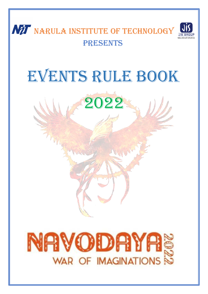

## EVENTS RULE Book



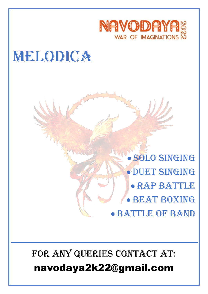

## WELODICA

• Solo Singing • Duet Singing • Rap BATTLE • BEAT BOXING • BATTLE OF BAND

## FOR ANY QUERIES CONTACT AT: navodaya2k22@gmail.com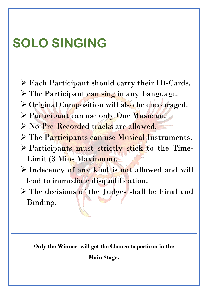## **SOLO SINGING**

- ➢ Each Participant should carry their ID-Cards.
- ➢ The Participant can sing in any Language.
- ➢ Original Composition will also be encouraged.
- ➢ Participant can use only One Musician.
- ➢ No Pre-Recorded tracks are allowed.
- ➢ The Participants can use Musical Instruments.
- ➢ Participants must strictly stick to the Time-Limit (3 Mins Maximum).
- ➢ Indecency of any kind is not allowed and will lead to immediate disqualification.
- ➢ The decisions of the Judges shall be Final and Binding.

**Only the Winner will get the Chance to perform in the**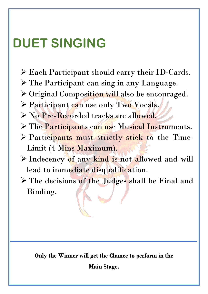## **DUET SINGING**

- ➢ Each Participant should carry their ID-Cards.
- ➢ The Participant can sing in any Language.
- ➢ Original Composition will also be encouraged.
- ➢ Participant can use only Two Vocals.
- ➢ No Pre-Recorded tracks are allowed.
- ➢ The Participants can use Musical Instruments.
- ➢ Participants must strictly stick to the Time-Limit (4 Mins Maximum).
- ➢ Indecency of any kind is not allowed and will lead to immediate disqualification.
- ➢ The decisions of the Judges shall be Final and Binding.

**Only the Winner will get the Chance to perform in the**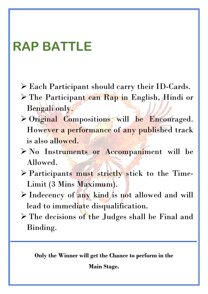## **RAP BATTLE**

- ➢ Each Participant should carry their ID-Cards.
- ➢ The Participant can Rap in English, Hindi or Bengali only.
- ➢ Original Compositions will be Encouraged. However a performance of any published track is also allowed.
- ➢ No Instruments or Accompaniment will be Allowed.
- ➢ Participants must strictly stick to the Time-Limit (3 Mins Maximum).
- ➢ Indecency of any kind is not allowed and will lead to immediate disqualification.
- ➢ The decisions of the Judges shall be Final and Binding.

**Only the Winner will get the Chance to perform in the**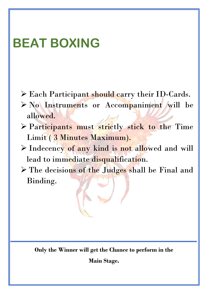## **BEAT BOXING**

- $\triangleright$  Each Participant should carry their ID-Cards.
- ➢ No Instruments or Accompaniment will be allowed.
- ➢ Participants must strictly stick to the Time Limit ( 3 Minutes Maximum).
- ➢ Indecency of any kind is not allowed and will lead to immediate disqualification.
- ➢ The decisions of the Judges shall be Final and Binding.

**Only the Winner will get the Chance to perform in the**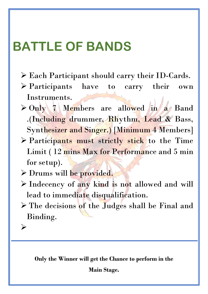## **BATTLE OF BANDS**

- ➢ Each Participant should carry their ID-Cards.
- ➢ Participants have to carry their own Instruments.
- ➢ Only 7 Members are allowed in a Band .(Including drummer, Rhythm, Lead & Bass, Synthesizer and Singer.) [Minimum 4 Members]
- ➢ Participants must strictly stick to the Time Limit ( 12 mins Max for Performance and 5 min for setup).
- ➢ Drums will be provided.
- ➢ Indecency of any kind is not allowed and will lead to immediate disqualification.
- ➢ The decisions of the Judges shall be Final and Binding.

➢

**Only the Winner will get the Chance to perform in the**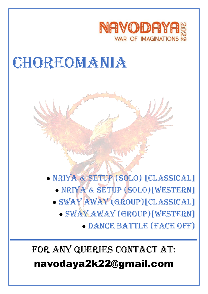

## **CHOREOMANIA**



- Sway Away (group)[CLASSICAL]
	- Sway Away (group)[WESTERN]

• Dance battle (face off)

### FOR ANY QUERIES CONTACT AT:

### navodaya2k22@gmail.com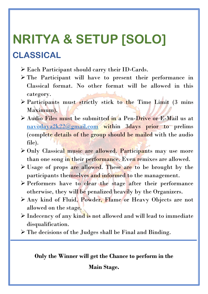## **NRITYA & SETUP [SOLO] CLASSICAL**

- ➢ Each Participant should carry their ID-Cards.
- ➢ The Participant will have to present their performance in Classical format. No other format will be allowed in this category.
- ➢ Participants must strictly stick to the Time Limit (3 mins Maximum).
- ➢ Audio Files must be submitted in a Pen-Drive or E-Mail us at [navodaya2k22@gmail.com](mailto:navodaya2k22@gmail.com) within 3days prior to prelims (complete details of the group should be mailed with the audio file).
- ➢ Only Classical music are allowed. Participants may use more than one song in their performance. Even remixes are allowed.
- ➢ Usage of props are allowed. These are to be brought by the participants themselves and informed to the management.
- ➢ Performers have to clear the stage after their performance otherwise, they will be penalized heavily by the Organizers.
- ➢ Any kind of Fluid, Powder, Flame or Heavy Objects are not allowed on the stage.
- ➢ Indecency of any kind is not allowed and will lead to immediate disqualification.
- ➢ The decisions of the Judges shall be Final and Binding.

#### **Only the Winner will get the Chance to perform in the**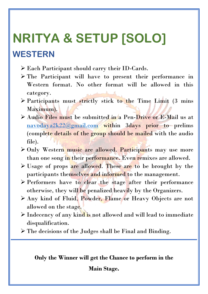## **NRITYA & SETUP [SOLO] WESTERN**

- ➢ Each Participant should carry their ID-Cards.
- ➢ The Participant will have to present their performance in Western format. No other format will be allowed in this category.
- $\triangleright$  Participants must strictly stick to the Time Limit (3 mins Maximum).
- ➢ Audio Files must be submitted in a Pen-Drive or E-Mail us at [navodaya2k22@gmail.com](mailto:navodaya2k22@gmail.com) within 3days prior to prelims (complete details of the group should be mailed with the audio file).
- ➢ Only Western music are allowed. Participants may use more than one song in their performance. Even remixes are allowed.
- $\triangleright$  Usage of props are allowed. These are to be brought by the participants themselves and informed to the management.
- ➢ Performers have to clear the stage after their performance otherwise, they will be penalized heavily by the Organizers.
- ➢ Any kind of Fluid, Powder, Flame or Heavy Objects are not allowed on the stage.
- ➢ Indecency of any kind is not allowed and will lead to immediate disqualification.
- ➢ The decisions of the Judges shall be Final and Binding.

#### **Only the Winner will get the Chance to perform in the**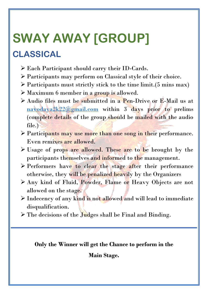# **SWAY AWAY [GROUP]**

### **CLASSICAL**

- ➢ Each Participant should carry their ID-Cards.
- ➢ Participants may perform on Classical style of their choice.
- $\triangleright$  Participants must strictly stick to the time limit. (5 mins max)
- ➢ Maximum 6 member in a group is allowed.
- ➢ Audio files must be submitted in a Pen-Drive or E-Mail us at [navodaya2k22@gmail.com](mailto:navodaya2k22@gmail.com) within 3 days prior to prelims (complete details of the group should be mailed with the audio file.)
- ➢ Participants may use more than one song in their performance. Even remixes are allowed.
- ➢ Usage of props are allowed. These are to be brought by the participants themselves and informed to the management.
- ➢ Performers have to clear the stage after their performance otherwise, they will be penalized heavily by the Organizers
- ➢ Any kind of Fluid, Powder, Flame or Heavy Objects are not allowed on the stage.
- ➢ Indecency of any kind is not allowed and will lead to immediate disqualification.
- $\triangleright$  The decisions of the Judges shall be Final and Binding.

#### **Only the Winner will get the Chance to perform in the**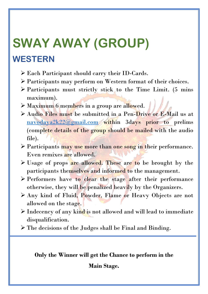# **SWAY AWAY (GROUP)**

### **WESTERN**

- ➢ Each Participant should carry their ID-Cards.
- ➢ Participants may perform on Western format of their choices.
- $\triangleright$  Participants must strictly stick to the Time Limit. (5 mins maximum).
- ➢ Maximum 6 members in a group are allowed.
- ➢ Audio Files must be submitted in a Pen-Drive or E-Mail us at [navodaya2k22@gmail.com](mailto:navodaya2k22@gmail.com) within 3days prior to prelims (complete details of the group should be mailed with the audio file).
- ➢ Participants may use more than one song in their performance. Even remixes are allowed.
- $\triangleright$  Usage of props are allowed. These are to be brought by the participants themselves and informed to the management.
- ➢ Performers have to clear the stage after their performance otherwise, they will be penalized heavily by the Organizers.
- ➢ Any kind of Fluid, Powder, Flame or Heavy Objects are not allowed on the stage.
- ➢ Indecency of any kind is not allowed and will lead to immediate disqualification.
- ➢ The decisions of the Judges shall be Final and Binding.

#### **Only the Winner will get the Chance to perform in the**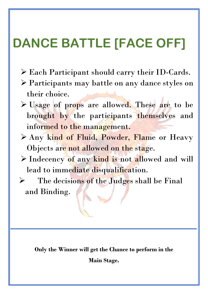## **DANCE BATTLE [FACE OFF]**

- ➢ Each Participant should carry their ID-Cards.
- ➢ Participants may battle on any dance styles on their choice.
- ➢ Usage of props are allowed. These are to be brought by the participants themselves and informed to the management.
- ➢ Any kind of Fluid, Powder, Flame or Heavy Objects are not allowed on the stage.
- ➢ Indecency of any kind is not allowed and will lead to immediate disqualification.
- ➢ The decisions of the Judges shall be Final and Binding.

**Only the Winner will get the Chance to perform in the Main Stage.**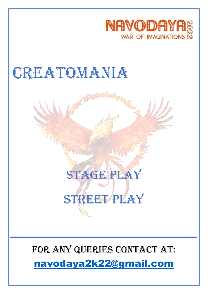

## **CREATOMANIA**



### FOR ANY QUERIES CONTACT AT:

[navodaya2k22@gmail.com](mailto:navodaya2k22@gmail.com)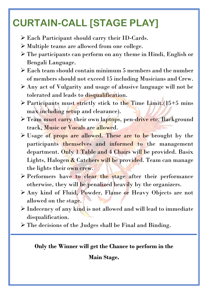## **CURTAIN-CALL [STAGE PLAY]**

- ➢ Each Participant should carry their ID-Cards.
- ➢ Multiple teams are allowed from one college.
- ➢ The participants can perform on any theme in Hindi, English or Bengali Language.
- ➢ Each team should contain minimum 5 members and the number of members should not exceed 15 including Musicians and Crew.
- ➢ Any act of Vulgarity and usage of abusive language will not be tolerated and leads to disqualification.
- ➢ Participants must strictly stick to the Time Limit.(15+5 mins max including setup and clearance).
- > Team must carry their own laptops, pen-drive etc. Background track, Music or Vocals are allowed.
- ➢ Usage of props are allowed. These are to be brought by the participants themselves and informed to the management department. Only 1 Table and 4 Chairs will be provided. Basix Lights, Halogen & Catchers will be provided. Team can manage the lights their own crew.
- ➢ Performers have to clear the stage after their performance otherwise, they will be penalized heavily by the organizers.
- ➢ Any kind of Fluid, Powder, Flame or Heavy Objects are not allowed on the stage.
- ➢ Indecency of any kind is not allowed and will lead to immediate disqualification.
- ➢ The decisions of the Judges shall be Final and Binding.

#### **Only the Winner will get the Chance to perform in the**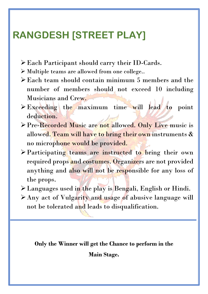### **RANGDESH [STREET PLAY]**

- ➢Each Participant should carry their ID-Cards.
- ➢ Multiple teams are allowed from one college..
- ➢Each team should contain minimum 5 members and the number of members should not exceed 10 including Musicians and Crew.
- ➢Exceeding the maximum time will lead to point deduction.
- ➢Pre-Recorded Music are not allowed. Only Live music is allowed. Team will have to bring their own instruments & no microphone would be provided.
- ➢Participating teams are instructed to bring their own required props and costumes. Organizers are not provided anything and also will not be responsible for any loss of the props.
- ➢Languages used in the play is Bengali, English or Hindi.
- ➢Any act of Vulgarity and usage of abusive language will not be tolerated and leads to disqualification.

#### **Only the Winner will get the Chance to perform in the**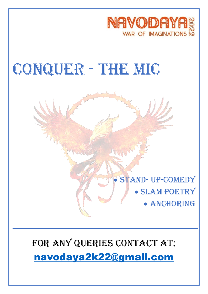

## CONQUER - THE MIC



## FOR ANY QUERIES CONTACT AT: [navodaya2k22@gmail.com](mailto:navodaya2k22@gmail.com)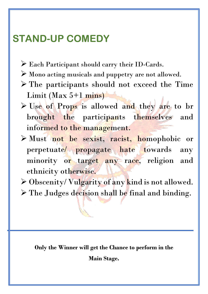### **STAND-UP COMEDY**

- ➢ Each Participant should carry their ID-Cards.
- ➢ Mono acting musicals and puppetry are not allowed.
- ➢ The participants should not exceed the Time  $Limit (Max 5+1 mins)$
- ➢ Use of Props is allowed and they are to br brought the participants themselves and informed to the management.
- ➢ Must not be sexist, racist, homophobic or perpetuate/ propagate hate towards any minority or target any race, religion and ethnicity otherwise.
- ➢ Obscenity/ Vulgarity of any kind is not allowed.
- ➢ The Judges decision shall be final and binding.

**Only the Winner will get the Chance to perform in the Main Stage.**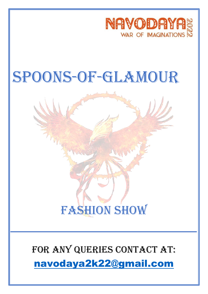

## SPOONS-OF-GLAMOUR



### FOR ANY QUERIES CONTACT AT:

[navodaya2k22@gmail.com](mailto:navodaya2k22@gmail.com)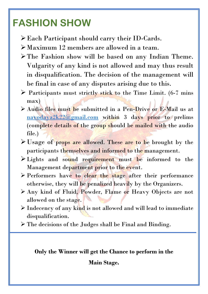### **FASHION SHOW**

- ➢Each Participant should carry their ID-Cards.
- ➢Maximum 12 members are allowed in a team.
- ➢The Fashion show will be based on any Indian Theme. Vulgarity of any kind is not allowed and may thus result in disqualification. The decision of the management will be final in case of any disputes arising due to this.
- $\triangleright$  Participants must strictly stick to the Time Limit. (6-7 mins max)
- ➢ Audio files must be submitted in a Pen-Drive or E-Mail us at  $navodaya2k22@gmail.com$  within 3 days prior to prelims (complete details of the group should be mailed with the audio file.)
- ➢Usage of props are allowed. These are to be brought by the participants themselves and informed to the management.
- ➢Lights and sound requirement must be informed to the Management department prior to the event.
- ➢ Performers have to clear the stage after their performance otherwise, they will be penalized heavily by the Organizers.
- ➢ Any kind of Fluid, Powder, Flame or Heavy Objects are not allowed on the stage.
- ➢ Indecency of any kind is not allowed and will lead to immediate disqualification.
- ➢ The decisions of the Judges shall be Final and Binding.

#### **Only the Winner will get the Chance to perform in the**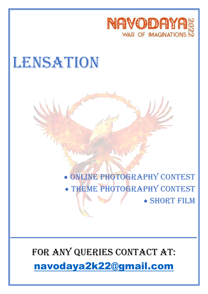

## LENSATION

## • Online Photography Contest • THEME PHOTOGRAPHY CONTEST

• Short Film

### FOR ANY QUERIES CONTACT AT:

[navodaya2k22@gmail.com](mailto:navodaya2k22@gmail.com)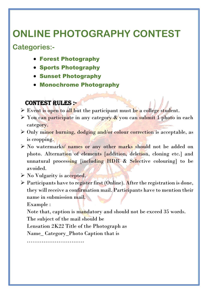### **ONLINE PHOTOGRAPHY CONTEST**

#### **Categories:-**

- Forest Photography
- Sports Photography
- Sunset Photography
- Monochrome Photography

#### CONTEST RULES :-

- $\triangleright$  Event is open to all but the participant must be a college student.
- $\triangleright$  You can participate in any category  $\&$  you can submit 1 photo in each category.
- ➢ Only minor burning, dodging and/or colour correction is acceptable, as is cropping.
- ➢ No watermarks/ names or any other marks should not be added on photo. Alternation of elements [addition, deletion, cloning etc.] and unnatural processing [including HDR & Selective colouring] to be avoided.
- $\triangleright$  No Vulgarity is accepted.
- $\triangleright$  Participants have to register first (Online). After the registration is done, they will receive a confirmation mail. Participants have to mention their name in submission mail.

Example :

Note that, caption is mandatory and should not be exceed 35 words.

The subject of the mail should be

Lensation 2K22 Title of the Photograph as

Name\_ Category\_Photo Caption that is

…………………………………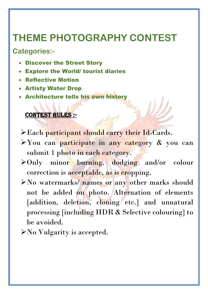### **THEME PHOTOGRAPHY CONTEST**

**Categories:-**

- Discover the Street Story
- **Explore the World/ tourist diaries**
- Reflective Motion
- Artisty Water Drop
- Architecture tells his own history

#### CONTEST RULES :-

- ➢Each participant should carry their Id-Cards.
- ➢You can participate in any category & you can submit 1 photo in each category.
- ➢Only minor burning, dodging and/or colour correction is acceptable, as is cropping.
- ➢No watermarks/ names or any other marks should not be added on photo. Alternation of elements [addition, deletion, cloning etc.] and unnatural processing [including HDR & Selective colouring] to be avoided.
- ➢No Vulgarity is accepted.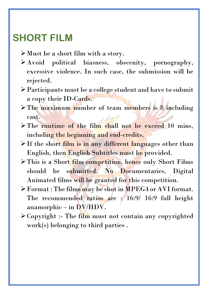### **SHORT FILM**

- ➢Must be a short film with a story.
- ➢Avoid political biasness, obscenity, pornography, excessive violence. In such case, the submission will be rejected.
- ➢Participants must be a college student and have to submit a copy their ID-Cards.
- ➢The maximum number of team members is 8 including cast.
- ➢The runtime of the film shall not be exceed 10 mins, including the beginning and end-credits.
- > If the short film is in any different languages other than English, then English Subtitles must be provided.
- > This is a Short film competition, hence only Short Films should be submitted. No Documentaries, Digital Animated films will be granted for this competition.
- ➢Format : The films may be shot in MPEG4 or AVI format. The recommended ratios are : 16:9/ 16:9 full height anamorphic – in DV/HDV.
- ➢Copyright :- The film must not contain any copyrighted work(s) belonging to third parties .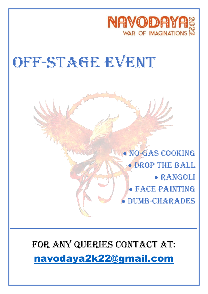

## OFF-STAGE EVENT

• No-GAS COOKING • DROP THE BALL • RANGOLI • FACE PAINTING • DUMB-CHARADES

FOR ANY QUERIES CONTACT AT: [navodaya2k22@gmail.com](mailto:navodaya2k22@gmail.com)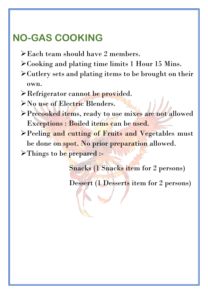### **NO-GAS COOKING**

- ➢Each team should have 2 members.
- ➢Cooking and plating time limits 1 Hour 15 Mins.
- ➢Cutlery sets and plating items to be brought on their own.
- ➢Refrigerator cannot be provided.
- ➢No use of Electric Blenders.
- ➢Precooked items, ready to use mixes are not allowed Exceptions : Boiled items can be used.
- ➢Peeling and cutting of Fruits and Vegetables must be done on spot. No prior preparation allowed.

➢Things to be prepared :-

Snacks (1 Snacks item for 2 persons)

Dessert (1 Desserts item for 2 persons)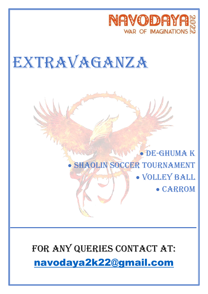

## EXTRAVAGANZA

### • De-GHUMA K SHAOLIN SOCCER TOURNAMENT • Volley BALL • CARROM

FOR ANY QUERIES CONTACT AT: [navodaya2k22@gmail.com](mailto:navodaya2k22@gmail.com)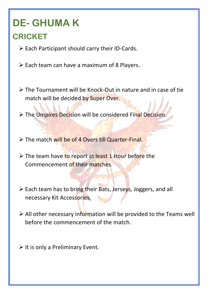## **DE- GHUMA K**

### **CRICKET**

- ➢ Each Participant should carry their ID-Cards.
- $\triangleright$  Each team can have a maximum of 8 Players.
- ➢ The Tournament will be Knock-Out in nature and in case of tie match will be decided by Super Over.
- ➢ The Umpires Decision will be considered Final Decision.
- ➢ The match will be of 4 Overs till Quarter-Final.
- ➢ The team have to report at least 1 Hour before the Commencement of their matches.
- ➢ Each team has to bring their Bats, Jerseys, Joggers, and all necessary Kit Accessories.
- ➢ All other necessary information will be provided to the Teams well before the commencement of the match.
- $\triangleright$  It is only a Preliminary Event.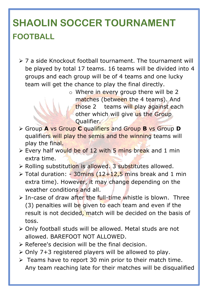## **SHAOLIN SOCCER TOURNAMENT FOOTBALL**

- ➢ 7 a side Knockout football tournament. The tournament will be played by total 17 teams. 16 teams will be divided into 4 groups and each group will be of 4 teams and one lucky team will get the chance to play the final directly.
	- o Where in every group there will be 2 matches (between the 4 teams). And those 2 teams will play against each other which will give us the Group Qualifier.
- ➢ Group **A** vs Group **C** qualifiers and Group **B** vs Group **D**  qualifiers will play the semis and the winning teams will play the final.
- ➢ Every half would be of 12 with 5 mins break and 1 min extra time.
- ➢ Rolling substitution is allowed. 3 substitutes allowed.
- $\ge$  Total duration: 30 mins (12+12,5 mins break and 1 min extra time). However, it may change depending on the weather conditions and all.
- $\triangleright$  In-case of draw after the full-time whistle is blown. Three (3) penalties will be given to each team and even if the result is not decided, match will be decided on the basis of toss.
- ➢ Only football studs will be allowed. Metal studs are not allowed. BAREFOOT NOT ALLOWED.
- ➢ Referee's decision will be the final decision.
- ➢ Only 7+3 registered players will be allowed to play.
- $\triangleright$  Teams have to report 30 min prior to their match time. Any team reaching late for their matches will be disqualified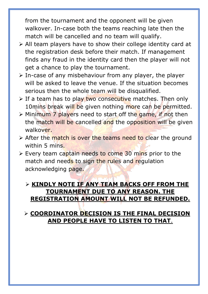from the tournament and the opponent will be given walkover. In-case both the teams reaching late then the match will be cancelled and no team will qualify.

- ➢ All team players have to show their college identity card at the registration desk before their match. If management finds any fraud in the identity card then the player will not get a chance to play the tournament.
- ➢ In-case of any misbehaviour from any player, the player will be asked to leave the venue. If the situation becomes serious then the whole team will be disqualified.
- $\triangleright$  If a team has to play two consecutive matches. Then only 10mins break will be given nothing more can be permitted.
- ➢ Minimum 7 players need to start off the game, if not then the match will be cancelled and the opposition will be given walkover.
- ➢ After the match is over the teams need to clear the ground within 5 mins.
- ➢ Every team captain needs to come 30 mins prior to the match and needs to sign the rules and regulation acknowledging page.

#### ➢ **KINDLY NOTE IF ANY TEAM BACKS OFF FROM THE TOURNAMENT DUE TO ANY REASON. THE REGISTRATION AMOUNT WILL NOT BE REFUNDED.**

#### ➢ **COORDINATOR DECISION IS THE FINAL DECISION AND PEOPLE HAVE TO LISTEN TO THAT**.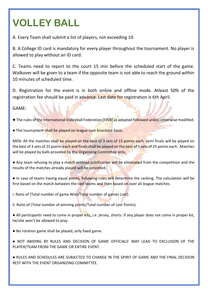## **VOLLEY BALL**

A. Every Team shall submit a list of players, not exceeding 10.

B. A College ID card is mandatory for every player throughout the tournament. No player is allowed to play without an ID card.

C. Teams need to report to the court 15 min before the scheduled start of the game. Walkover will be given to a team if the opposite team is not able to reach the ground within 10 minutes of scheduled time.

D. Registration for the event is in both online and offline mode. Atleast 50% of the registration fee should be paid in advance. Last date for registration is 6th April.

GAME:

- The rules of the International Volleyball Federation [FIVB] as adopted followed unless otherwise modified.
- The tournament shall be played on league cum knockout basis.

MEN: All the matches shall be played on the best of 3 sets of 15 points each, semi finals will be played on the best of 3 sets of 25 points each and finals shall be played on the best of 5 sets of 25 points each. Matches will be played by balls provided by the Organizing Committee only.

- Any team refusing to play a match without justification will be eliminated from the competition and the results of the matches already played will be cancelled.
- In case of teams having equal points, following rules will determine the ranking. The calculation will be first based on the match between the tied teams and then based on over all league matches.
- i. Ratio of (Total number of game Won/Total number of games Lost)
- ii. Ratio of (Total number of winning points/Total number of Lost Points).
- All participants need to come in proper kits, i.e. jersey, shorts. If any player does not come in proper kit, he/she won't be allowed to play.
- No rotation game shall be played, only fixed game.
- NOT ABIDING BY RULES AND DECISION OF GAME OFFICIALS' MAY LEAD TO EXCLUSION OF THE PLAYER/TEAM FROM THE GAME OR ENTIRE EVENT.
- RULES AND SCHEDULES ARE SUBJECTED TO CHANGE IN THE SPIRIT OF GAME AND THE FINAL DECISION REST WITH THE EVENT ORGANIZING COMMITTEE.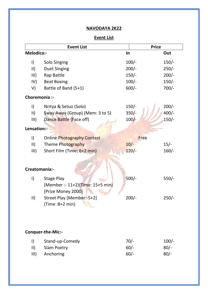#### **NAVODAYA 2K22**

#### **Event List**

| <b>Event List</b>        |                                                                      |         | <b>Price</b> |  |  |
|--------------------------|----------------------------------------------------------------------|---------|--------------|--|--|
| Melodica:-               |                                                                      | In      | Out          |  |  |
| $\mathsf{I}$             | Solo Singing                                                         | $100/-$ | $150/-$      |  |  |
| $\vert \vert \vert$      | <b>Duet Singing</b>                                                  | $200/-$ | $250/-$      |  |  |
| III)                     | Rap Battle                                                           | $150/-$ | $200/-$      |  |  |
| IV)                      | <b>Beat Boxing</b>                                                   | $100/-$ | $150/-$      |  |  |
| V)                       | Battle of Band (5+1)                                                 | $600/-$ | $700/-$      |  |  |
| Choremonia :-            |                                                                      |         |              |  |  |
| $\mathsf{I}$             | Nritya & Setuo (Solo)                                                | $150/-$ | $200/-$      |  |  |
| $\vert \vert \vert$      | Sway Away (Group) (Mem: 3 to 5)                                      | $350/-$ | $400/-$      |  |  |
| III)                     | Dance Battle (Face off)                                              | $100/-$ | $150/-$      |  |  |
| Lensation:-              |                                                                      |         |              |  |  |
| $\vert$                  | <b>Online Photography Contest</b>                                    | Free    |              |  |  |
| $\vert \vert \vert$      | Theme Photography                                                    | $10/-$  | $15/-$       |  |  |
| III)                     | Short Film (Time: 6+2 min)                                           | $120/-$ | $160/-$      |  |  |
| Creatomania:-            |                                                                      |         |              |  |  |
| $\vert$                  | Stage Play<br>(Member :- 11+2)(Time: 15+5 min)<br>[Prize Money 2000] | $500/-$ | $550/-$      |  |  |
| $\vert \vert$            | Street Play [Member:-5+2]<br>$(Time : 8+2 min)$                      | $200/-$ | $250/-$      |  |  |
| <b>Conquer-the-Mic:-</b> |                                                                      |         |              |  |  |
| $\vert$                  | Stand-up-Comedy                                                      | $70/-$  | $100/-$      |  |  |
| $\vert \vert$            | <b>Slam Poetry</b>                                                   | $60/-$  | $80/-$       |  |  |
| III)                     | Anchoring                                                            | $60/-$  | $80/-$       |  |  |
|                          |                                                                      |         |              |  |  |